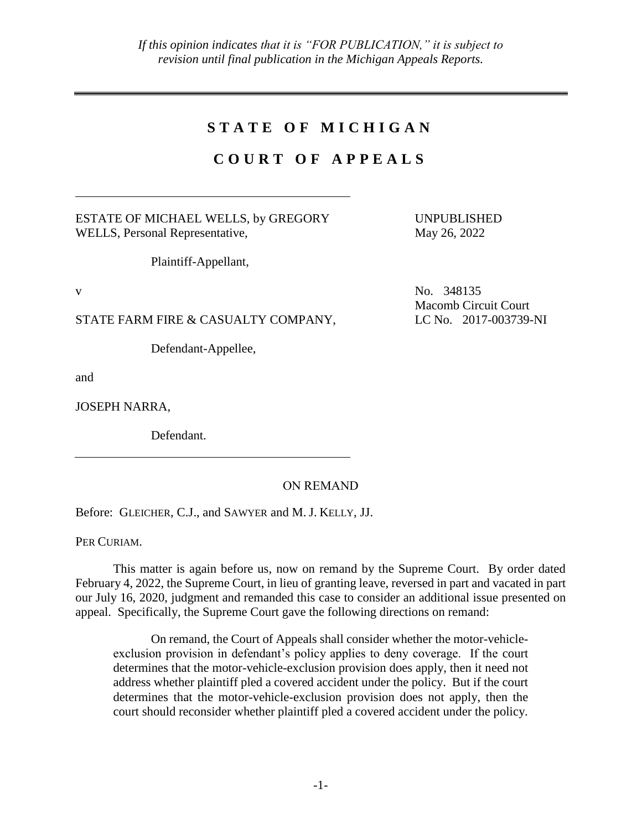## **S T A T E O F M I C H I G A N**

## **C O U R T O F A P P E A L S**

ESTATE OF MICHAEL WELLS, by GREGORY WELLS, Personal Representative,

UNPUBLISHED May 26, 2022

Plaintiff-Appellant,

STATE FARM FIRE & CASUALTY COMPANY,

Defendant-Appellee,

and

JOSEPH NARRA,

Defendant.

## ON REMAND

Before: GLEICHER, C.J., and SAWYER and M. J. KELLY, JJ.

PER CURIAM.

This matter is again before us, now on remand by the Supreme Court. By order dated February 4, 2022, the Supreme Court, in lieu of granting leave, reversed in part and vacated in part our July 16, 2020, judgment and remanded this case to consider an additional issue presented on appeal. Specifically, the Supreme Court gave the following directions on remand:

On remand, the Court of Appeals shall consider whether the motor-vehicleexclusion provision in defendant's policy applies to deny coverage. If the court determines that the motor-vehicle-exclusion provision does apply, then it need not address whether plaintiff pled a covered accident under the policy. But if the court determines that the motor-vehicle-exclusion provision does not apply, then the court should reconsider whether plaintiff pled a covered accident under the policy.

v No. 348135 Macomb Circuit Court LC No. 2017-003739-NI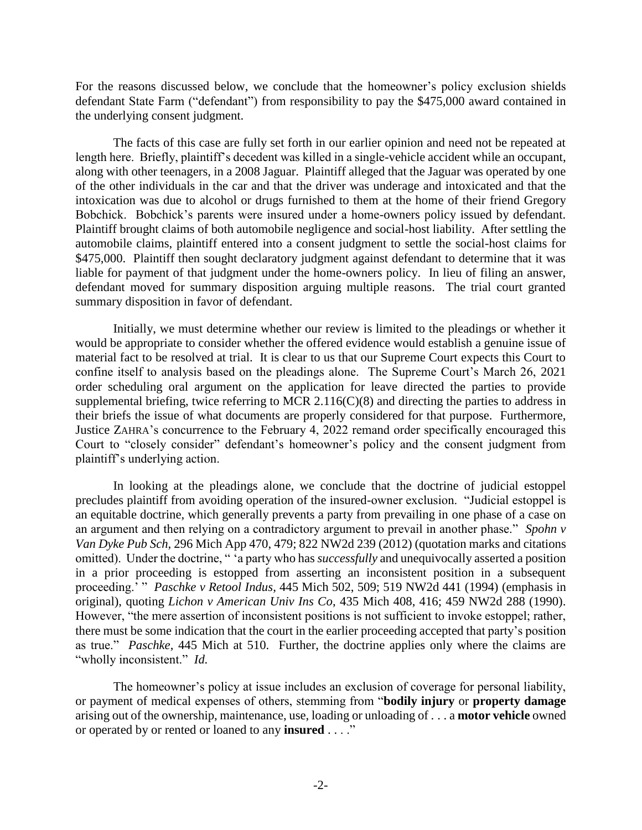For the reasons discussed below, we conclude that the homeowner's policy exclusion shields defendant State Farm ("defendant") from responsibility to pay the \$475,000 award contained in the underlying consent judgment.

The facts of this case are fully set forth in our earlier opinion and need not be repeated at length here. Briefly, plaintiff's decedent was killed in a single-vehicle accident while an occupant, along with other teenagers, in a 2008 Jaguar. Plaintiff alleged that the Jaguar was operated by one of the other individuals in the car and that the driver was underage and intoxicated and that the intoxication was due to alcohol or drugs furnished to them at the home of their friend Gregory Bobchick. Bobchick's parents were insured under a home-owners policy issued by defendant. Plaintiff brought claims of both automobile negligence and social-host liability. After settling the automobile claims, plaintiff entered into a consent judgment to settle the social-host claims for \$475,000. Plaintiff then sought declaratory judgment against defendant to determine that it was liable for payment of that judgment under the home-owners policy. In lieu of filing an answer, defendant moved for summary disposition arguing multiple reasons. The trial court granted summary disposition in favor of defendant.

Initially, we must determine whether our review is limited to the pleadings or whether it would be appropriate to consider whether the offered evidence would establish a genuine issue of material fact to be resolved at trial. It is clear to us that our Supreme Court expects this Court to confine itself to analysis based on the pleadings alone. The Supreme Court's March 26, 2021 order scheduling oral argument on the application for leave directed the parties to provide supplemental briefing, twice referring to MCR 2.116(C)(8) and directing the parties to address in their briefs the issue of what documents are properly considered for that purpose. Furthermore, Justice ZAHRA's concurrence to the February 4, 2022 remand order specifically encouraged this Court to "closely consider" defendant's homeowner's policy and the consent judgment from plaintiff's underlying action.

In looking at the pleadings alone, we conclude that the doctrine of judicial estoppel precludes plaintiff from avoiding operation of the insured-owner exclusion. "Judicial estoppel is an equitable doctrine, which generally prevents a party from prevailing in one phase of a case on an argument and then relying on a contradictory argument to prevail in another phase." *Spohn v Van Dyke Pub Sch*, 296 Mich App 470, 479; 822 NW2d 239 (2012) (quotation marks and citations omitted). Under the doctrine, " 'a party who has *successfully* and unequivocally asserted a position in a prior proceeding is estopped from asserting an inconsistent position in a subsequent proceeding.' " *Paschke v Retool Indus*, 445 Mich 502, 509; 519 NW2d 441 (1994) (emphasis in original), quoting *Lichon v American Univ Ins Co*, 435 Mich 408, 416; 459 NW2d 288 (1990). However, "the mere assertion of inconsistent positions is not sufficient to invoke estoppel; rather, there must be some indication that the court in the earlier proceeding accepted that party's position as true." *Paschke*, 445 Mich at 510. Further, the doctrine applies only where the claims are "wholly inconsistent." *Id.*

The homeowner's policy at issue includes an exclusion of coverage for personal liability, or payment of medical expenses of others, stemming from "**bodily injury** or **property damage** arising out of the ownership, maintenance, use, loading or unloading of . . . a **motor vehicle** owned or operated by or rented or loaned to any **insured** . . . ."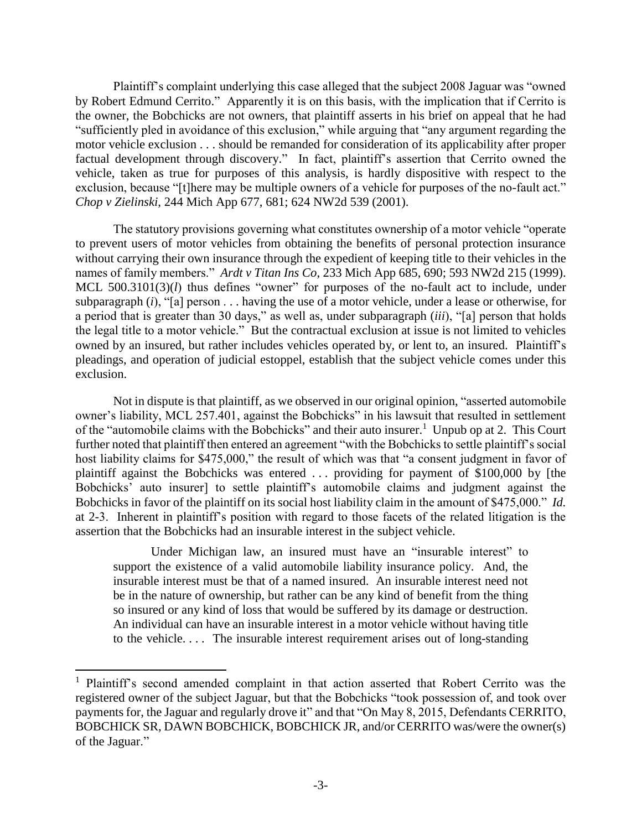Plaintiff's complaint underlying this case alleged that the subject 2008 Jaguar was "owned by Robert Edmund Cerrito." Apparently it is on this basis, with the implication that if Cerrito is the owner, the Bobchicks are not owners, that plaintiff asserts in his brief on appeal that he had "sufficiently pled in avoidance of this exclusion," while arguing that "any argument regarding the motor vehicle exclusion . . . should be remanded for consideration of its applicability after proper factual development through discovery." In fact, plaintiff's assertion that Cerrito owned the vehicle, taken as true for purposes of this analysis, is hardly dispositive with respect to the exclusion, because "[t]here may be multiple owners of a vehicle for purposes of the no-fault act." *Chop v Zielinski*, 244 Mich App 677, 681; 624 NW2d 539 (2001).

The statutory provisions governing what constitutes ownership of a motor vehicle "operate to prevent users of motor vehicles from obtaining the benefits of personal protection insurance without carrying their own insurance through the expedient of keeping title to their vehicles in the names of family members." *Ardt v Titan Ins Co*, 233 Mich App 685, 690; 593 NW2d 215 (1999). MCL 500.3101(3)(*l*) thus defines "owner" for purposes of the no-fault act to include, under subparagraph (*i*), "[a] person . . . having the use of a motor vehicle, under a lease or otherwise, for a period that is greater than 30 days," as well as, under subparagraph (*iii*), "[a] person that holds the legal title to a motor vehicle." But the contractual exclusion at issue is not limited to vehicles owned by an insured, but rather includes vehicles operated by, or lent to, an insured. Plaintiff's pleadings, and operation of judicial estoppel, establish that the subject vehicle comes under this exclusion.

Not in dispute is that plaintiff, as we observed in our original opinion, "asserted automobile owner's liability, MCL 257.401, against the Bobchicks" in his lawsuit that resulted in settlement of the "automobile claims with the Bobchicks" and their auto insurer.<sup>1</sup> Unpub op at 2. This Court further noted that plaintiff then entered an agreement "with the Bobchicks to settle plaintiff's social host liability claims for \$475,000," the result of which was that "a consent judgment in favor of plaintiff against the Bobchicks was entered . . . providing for payment of \$100,000 by [the Bobchicks' auto insurer] to settle plaintiff's automobile claims and judgment against the Bobchicks in favor of the plaintiff on its social host liability claim in the amount of \$475,000." *Id.* at 2-3. Inherent in plaintiff's position with regard to those facets of the related litigation is the assertion that the Bobchicks had an insurable interest in the subject vehicle.

Under Michigan law, an insured must have an "insurable interest" to support the existence of a valid automobile liability insurance policy. And, the insurable interest must be that of a named insured. An insurable interest need not be in the nature of ownership, but rather can be any kind of benefit from the thing so insured or any kind of loss that would be suffered by its damage or destruction. An individual can have an insurable interest in a motor vehicle without having title to the vehicle. . . . The insurable interest requirement arises out of long-standing

 $\overline{a}$ 

<sup>1</sup> Plaintiff's second amended complaint in that action asserted that Robert Cerrito was the registered owner of the subject Jaguar, but that the Bobchicks "took possession of, and took over payments for, the Jaguar and regularly drove it" and that "On May 8, 2015, Defendants CERRITO, BOBCHICK SR, DAWN BOBCHICK, BOBCHICK JR, and/or CERRITO was/were the owner(s) of the Jaguar."